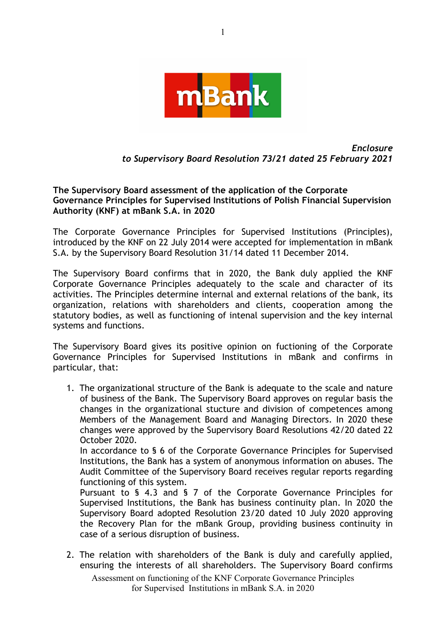

## *Enclosure to Supervisory Board Resolution 73/21 dated 25 February 2021*

**The Supervisory Board assessment of the application of the Corporate Governance Principles for Supervised Institutions of Polish Financial Supervision Authority (KNF) at mBank S.A. in 2020**

The Corporate Governance Principles for Supervised Institutions (Principles), introduced by the KNF on 22 July 2014 were accepted for implementation in mBank S.A. by the Supervisory Board Resolution 31/14 dated 11 December 2014.

The Supervisory Board confirms that in 2020, the Bank duly applied the KNF Corporate Governance Principles adequately to the scale and character of its activities. The Principles determine internal and external relations of the bank, its organization, relations with shareholders and clients, cooperation among the statutory bodies, as well as functioning of intenal supervision and the key internal systems and functions.

The Supervisory Board gives its positive opinion on fuctioning of the Corporate Governance Principles for Supervised Institutions in mBank and confirms in particular, that:

1. The organizational structure of the Bank is adequate to the scale and nature of business of the Bank. The Supervisory Board approves on regular basis the changes in the organizational stucture and division of competences among Members of the Management Board and Managing Directors. In 2020 these changes were approved by the Supervisory Board Resolutions 42/20 dated 22 October 2020.

In accordance to § 6 of the Corporate Governance Principles for Supervised Institutions, the Bank has a system of anonymous information on abuses. The Audit Committee of the Supervisory Board receives regular reports regarding functioning of this system.

Pursuant to § 4.3 and § 7 of the Corporate Governance Principles for Supervised Institutions, the Bank has business continuity plan. In 2020 the Supervisory Board adopted Resolution 23/20 dated 10 July 2020 approving the Recovery Plan for the mBank Group, providing business continuity in case of a serious disruption of business.

2. The relation with shareholders of the Bank is duly and carefully applied, ensuring the interests of all shareholders. The Supervisory Board confirms

Assessment on functioning of the KNF Corporate Governance Principles for Supervised Institutions in mBank S.A. in 2020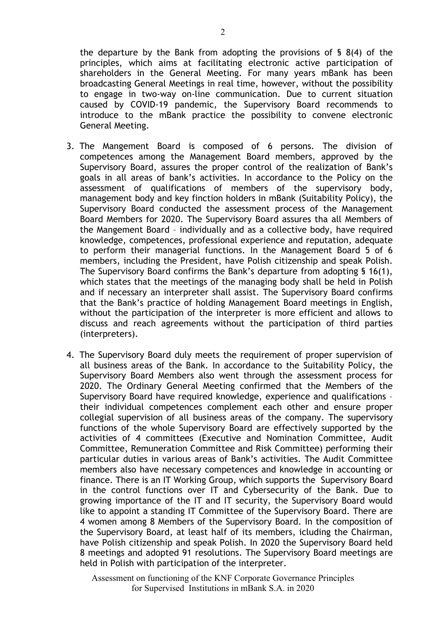the departure by the Bank from adopting the provisions of § 8(4) of the principles, which aims at facilitating electronic active participation of shareholders in the General Meeting. For many years mBank has been broadcasting General Meetings in real time, however, without the possibility to engage in two-way on-line communication. Due to current situation caused by COVID-19 pandemic, the Supervisory Board recommends to introduce to the mBank practice the possibility to convene electronic General Meeting.

- 3. The Mangement Board is composed of 6 persons. The division of competences among the Management Board members, approved by the Supervisory Board, assures the proper control of the realization of Bank's goals in all areas of bank's activities. In accordance to the Policy on the assessment of qualifications of members of the supervisory body, management body and key finction holders in mBank (Suitability Policy), the Supervisory Board conducted the assessment process of the Management Board Members for 2020. The Supervisory Board assures tha all Members of the Mangement Board – individually and as a collective body, have required knowledge, competences, professional experience and reputation, adequate to perform their managerial functions. In the Management Board 5 of 6 members, including the President, have Polish citizenship and speak Polish. The Supervisory Board confirms the Bank's departure from adopting § 16(1), which states that the meetings of the managing body shall be held in Polish and if necessary an interpreter shall assist. The Supervisory Board confirms that the Bank's practice of holding Management Board meetings in English, without the participation of the interpreter is more efficient and allows to discuss and reach agreements without the participation of third parties (interpreters).
- 4. The Supervisory Board duly meets the requirement of proper supervision of all business areas of the Bank. In accordance to the Suitability Policy, the Supervisory Board Members also went through the assessment process for 2020. The Ordinary General Meeting confirmed that the Members of the Supervisory Board have required knowledge, experience and qualifications – their individual competences complement each other and ensure proper collegial supervision of all business areas of the company. The supervisory functions of the whole Supervisory Board are effectively supported by the activities of 4 committees (Executive and Nomination Committee, Audit Committee, Remuneration Committee and Risk Committee) performing their particular duties in various areas of Bank's activities. The Audit Committee members also have necessary competences and knowledge in accounting or finance. There is an IT Working Group, which supports the Supervisory Board in the control functions over IT and Cybersecurity of the Bank. Due to growing importance of the IT and IT security, the Supervisory Board would like to appoint a standing IT Committee of the Supervisory Board. There are 4 women among 8 Members of the Supervisory Board. In the composition of the Supervisory Board, at least half of its members, icluding the Chairman, have Polish citizenship and speak Polish. In 2020 the Supervisory Board held 8 meetings and adopted 91 resolutions. The Supervisory Board meetings are held in Polish with participation of the interpreter.

Assessment on functioning of the KNF Corporate Governance Principles for Supervised Institutions in mBank S.A. in 2020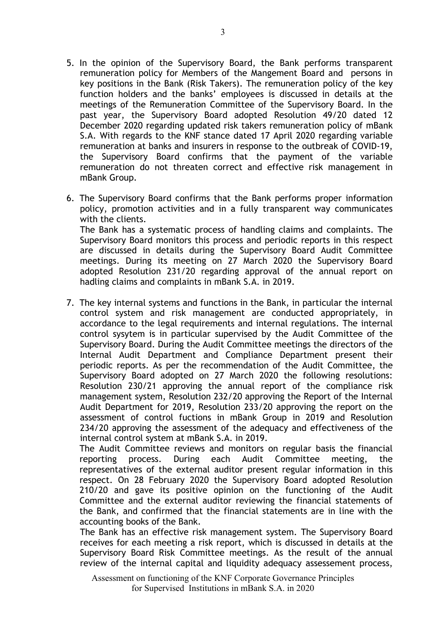- 5. In the opinion of the Supervisory Board, the Bank performs transparent remuneration policy for Members of the Mangement Board and persons in key positions in the Bank (Risk Takers). The remuneration policy of the key function holders and the banks' employees is discussed in details at the meetings of the Remuneration Committee of the Supervisory Board. In the past year, the Supervisory Board adopted Resolution 49/20 dated 12 December 2020 regarding updated risk takers remuneration policy of mBank S.A. With regards to the KNF stance dated 17 April 2020 regarding variable remuneration at banks and insurers in response to the outbreak of COVID-19, the Supervisory Board confirms that the payment of the variable remuneration do not threaten correct and effective risk management in mBank Group.
- 6. The Supervisory Board confirms that the Bank performs proper information policy, promotion activities and in a fully transparent way communicates with the clients. The Bank has a systematic process of handling claims and complaints. The Supervisory Board monitors this process and periodic reports in this respect are discussed in details during the Supervisory Board Audit Committee meetings. During its meeting on 27 March 2020 the Supervisory Board adopted Resolution 231/20 regarding approval of the annual report on hadling claims and complaints in mBank S.A. in 2019.
- 7. The key internal systems and functions in the Bank, in particular the internal control system and risk management are conducted appropriately, in accordance to the legal requirements and internal regulations. The internal control sysytem is in particular supervised by the Audit Committee of the Supervisory Board. During the Audit Committee meetings the directors of the Internal Audit Department and Compliance Department present their periodic reports. As per the recommendation of the Audit Committee, the Supervisory Board adopted on 27 March 2020 the following resolutions: Resolution 230/21 approving the annual report of the compliance risk management system, Resolution 232/20 approving the Report of the Internal Audit Department for 2019, Resolution 233/20 approving the report on the assessment of control fuctions in mBank Group in 2019 and Resolution 234/20 approving the assessment of the adequacy and effectiveness of the internal control system at mBank S.A. in 2019.

The Audit Committee reviews and monitors on regular basis the financial reporting process. During each Audit Committee meeting, the representatives of the external auditor present regular information in this respect. On 28 February 2020 the Supervisory Board adopted Resolution 210/20 and gave its positive opinion on the functioning of the Audit Committee and the external auditor reviewing the financial statements of the Bank, and confirmed that the financial statements are in line with the accounting books of the Bank.

The Bank has an effective risk management system. The Supervisory Board receives for each meeting a risk report, which is discussed in details at the Supervisory Board Risk Committee meetings. As the result of the annual review of the internal capital and liquidity adequacy assessement process,

Assessment on functioning of the KNF Corporate Governance Principles for Supervised Institutions in mBank S.A. in 2020